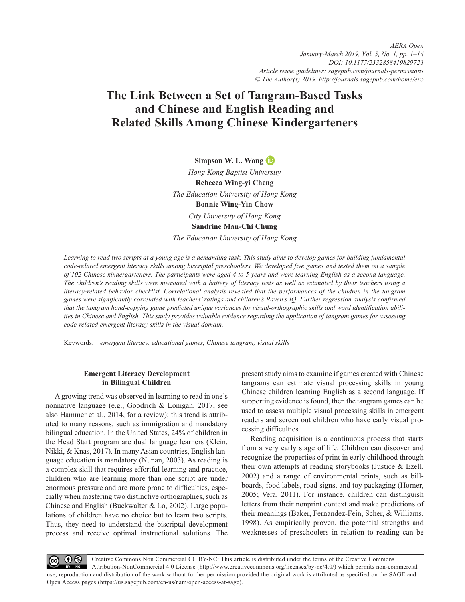*https://doi.org/10.1177/2332858419829723 DOI: [10.1177/2332858419829723](http://doi.org/10.1177/2332858419829723) AERA Open January-March 2019, Vol. 5, No. 1, pp. 1–14 [Article reuse guidelines: sagepub.com/journals-permissions](https://us.sagepub.com/en-us/journals-permissions) © The Author(s) 2019.<http://journals.sagepub.com/home/ero>*

# **The Link Between a Set of Tangram-Based Tasks and Chinese and English Reading and Related Skills Among Chinese Kindergarteners**

**Simpson W. L. Wong** 

*Hong Kong Baptist University* **Rebecca Wing-yi Cheng** *The Education University of Hong Kong* **Bonnie Wing-Yin Chow** *City University of Hong Kong* **Sandrine Man-Chi Chung**

*The Education University of Hong Kong*

Learning to read two scripts at a young age is a demanding task. This study aims to develop games for building fundamental *code-related emergent literacy skills among biscriptal preschoolers. We developed five games and tested them on a sample of 102 Chinese kindergarteners. The participants were aged 4 to 5 years and were learning English as a second language. The children's reading skills were measured with a battery of literacy tests as well as estimated by their teachers using a literacy-related behavior checklist. Correlational analysis revealed that the performances of the children in the tangram games were significantly correlated with teachers' ratings and children's Raven's IQ. Further regression analysis confirmed that the tangram hand-copying game predicted unique variances for visual-orthographic skills and word identification abilities in Chinese and English. This study provides valuable evidence regarding the application of tangram games for assessing code-related emergent literacy skills in the visual domain.*

Keywords: *emergent literacy, educational games, Chinese tangram, visual skills*

# **Emergent Literacy Development in Bilingual Children**

A growing trend was observed in learning to read in one's nonnative language (e.g., Goodrich & Lonigan, 2017; see also Hammer et al., 2014, for a review); this trend is attributed to many reasons, such as immigration and mandatory bilingual education. In the United States, 24% of children in the Head Start program are dual language learners (Klein, Nikki, & Knas, 2017). In many Asian countries, English language education is mandatory (Nunan, 2003). As reading is a complex skill that requires effortful learning and practice, children who are learning more than one script are under enormous pressure and are more prone to difficulties, especially when mastering two distinctive orthographies, such as Chinese and English (Buckwalter & Lo, 2002). Large populations of children have no choice but to learn two scripts. Thus, they need to understand the biscriptal development process and receive optimal instructional solutions. The present study aims to examine if games created with Chinese tangrams can estimate visual processing skills in young Chinese children learning English as a second language. If supporting evidence is found, then the tangram games can be used to assess multiple visual processing skills in emergent readers and screen out children who have early visual processing difficulties.

Reading acquisition is a continuous process that starts from a very early stage of life. Children can discover and recognize the properties of print in early childhood through their own attempts at reading storybooks (Justice & Ezell, 2002) and a range of environmental prints, such as billboards, food labels, road signs, and toy packaging (Horner, 2005; Vera, 2011). For instance, children can distinguish letters from their nonprint context and make predictions of their meanings (Baker, Fernandez-Fein, Scher, & Williams, 1998). As empirically proven, the potential strengths and weaknesses of preschoolers in relation to reading can be

Creative Commons Non Commercial CC BY-NC: This article is distributed under the terms of the Creative Commons  $\odot$ Attribution-NonCommercial 4.0 License (http://www.creativecommons.org/licenses/by-nc/4.0/) which permits non-commercial use, reproduction and distribution of the work without further permission provided the original work is attributed as specified on the SAGE and Open Access pages (https://us.sagepub.com/en-us/nam/open-access-at-sage).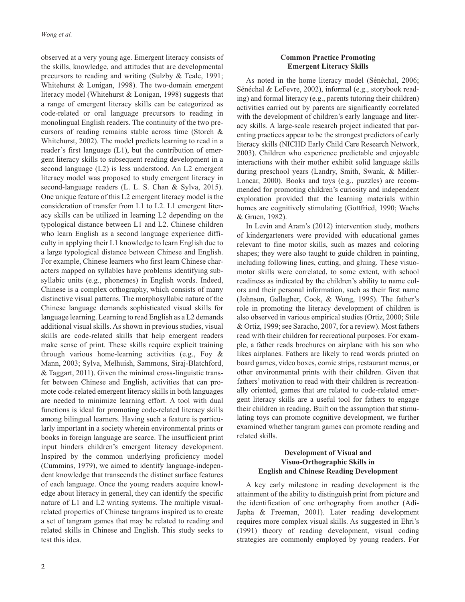observed at a very young age. Emergent literacy consists of the skills, knowledge, and attitudes that are developmental precursors to reading and writing (Sulzby & Teale, 1991; Whitehurst & Lonigan, 1998). The two-domain emergent literacy model (Whitehurst & Lonigan, 1998) suggests that a range of emergent literacy skills can be categorized as code-related or oral language precursors to reading in monolingual English readers. The continuity of the two precursors of reading remains stable across time (Storch & Whitehurst, 2002). The model predicts learning to read in a reader's first language (L1), but the contribution of emergent literacy skills to subsequent reading development in a second language (L2) is less understood. An L2 emergent literacy model was proposed to study emergent literacy in second-language readers (L. L. S. Chan & Sylva, 2015). One unique feature of this L2 emergent literacy model is the consideration of transfer from L1 to L2. L1 emergent literacy skills can be utilized in learning L2 depending on the typological distance between L1 and L2. Chinese children who learn English as a second language experience difficulty in applying their L1 knowledge to learn English due to a large typological distance between Chinese and English. For example, Chinese learners who first learn Chinese characters mapped on syllables have problems identifying subsyllabic units (e.g., phonemes) in English words. Indeed, Chinese is a complex orthography, which consists of many distinctive visual patterns. The morphosyllabic nature of the Chinese language demands sophisticated visual skills for language learning. Learning to read English as a L2 demands additional visual skills. As shown in previous studies, visual skills are code-related skills that help emergent readers make sense of print. These skills require explicit training through various home-learning activities (e.g., Foy & Mann, 2003; Sylva, Melhuish, Sammons, Siraj-Blatchford, & Taggart, 2011). Given the minimal cross-linguistic transfer between Chinese and English, activities that can promote code-related emergent literacy skills in both languages are needed to minimize learning effort. A tool with dual functions is ideal for promoting code-related literacy skills among bilingual learners. Having such a feature is particularly important in a society wherein environmental prints or books in foreign language are scarce. The insufficient print input hinders children's emergent literacy development. Inspired by the common underlying proficiency model (Cummins, 1979), we aimed to identify language-independent knowledge that transcends the distinct surface features of each language. Once the young readers acquire knowledge about literacy in general, they can identify the specific nature of L1 and L2 writing systems. The multiple visualrelated properties of Chinese tangrams inspired us to create a set of tangram games that may be related to reading and related skills in Chinese and English. This study seeks to test this idea.

# **Common Practice Promoting Emergent Literacy Skills**

As noted in the home literacy model (Sénéchal, 2006; Sénéchal & LeFevre, 2002), informal (e.g., storybook reading) and formal literacy (e.g., parents tutoring their children) activities carried out by parents are significantly correlated with the development of children's early language and literacy skills. A large-scale research project indicated that parenting practices appear to be the strongest predictors of early literacy skills (NICHD Early Child Care Research Network, 2003). Children who experience predictable and enjoyable interactions with their mother exhibit solid language skills during preschool years (Landry, Smith, Swank, & Miller-Loncar, 2000). Books and toys (e.g., puzzles) are recommended for promoting children's curiosity and independent exploration provided that the learning materials within homes are cognitively stimulating (Gottfried, 1990; Wachs & Gruen, 1982).

In Levin and Aram's (2012) intervention study, mothers of kindergarteners were provided with educational games relevant to fine motor skills, such as mazes and coloring shapes; they were also taught to guide children in painting, including following lines, cutting, and gluing. These visuomotor skills were correlated, to some extent, with school readiness as indicated by the children's ability to name colors and their personal information, such as their first name (Johnson, Gallagher, Cook, & Wong, 1995). The father's role in promoting the literacy development of children is also observed in various empirical studies (Ortiz, 2000; Stile & Ortiz, 1999; see Saracho, 2007, for a review). Most fathers read with their children for recreational purposes. For example, a father reads brochures on airplane with his son who likes airplanes. Fathers are likely to read words printed on board games, video boxes, comic strips, restaurant menus, or other environmental prints with their children. Given that fathers' motivation to read with their children is recreationally oriented, games that are related to code-related emergent literacy skills are a useful tool for fathers to engage their children in reading. Built on the assumption that stimulating toys can promote cognitive development, we further examined whether tangram games can promote reading and related skills.

# **Development of Visual and Visuo-Orthographic Skills in English and Chinese Reading Development**

A key early milestone in reading development is the attainment of the ability to distinguish print from picture and the identification of one orthography from another (Adi-Japha & Freeman, 2001). Later reading development requires more complex visual skills. As suggested in Ehri's (1991) theory of reading development, visual coding strategies are commonly employed by young readers. For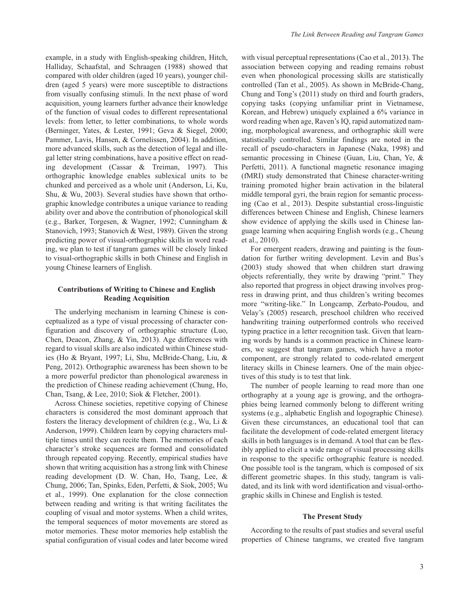example, in a study with English-speaking children, Hitch, Halliday, Schaafstal, and Schraagen (1988) showed that compared with older children (aged 10 years), younger children (aged 5 years) were more susceptible to distractions from visually confusing stimuli. In the next phase of word acquisition, young learners further advance their knowledge of the function of visual codes to different representational levels: from letter, to letter combinations, to whole words (Berninger, Yates, & Lester, 1991; Geva & Siegel, 2000; Pammer, Lavis, Hansen, & Cornelissen, 2004). In addition, more advanced skills, such as the detection of legal and illegal letter string combinations, have a positive effect on reading development (Cassar & Treiman, 1997). This orthographic knowledge enables sublexical units to be chunked and perceived as a whole unit (Anderson, Li, Ku, Shu, & Wu, 2003). Several studies have shown that orthographic knowledge contributes a unique variance to reading ability over and above the contribution of phonological skill (e.g., Barker, Torgesen, & Wagner, 1992; Cunningham & Stanovich, 1993; Stanovich & West, 1989). Given the strong predicting power of visual-orthographic skills in word reading, we plan to test if tangram games will be closely linked to visual-orthographic skills in both Chinese and English in young Chinese learners of English.

## **Contributions of Writing to Chinese and English Reading Acquisition**

The underlying mechanism in learning Chinese is conceptualized as a type of visual processing of character configuration and discovery of orthographic structure (Luo, Chen, Deacon, Zhang, & Yin, 2013). Age differences with regard to visual skills are also indicated within Chinese studies (Ho & Bryant, 1997; Li, Shu, McBride-Chang, Liu, & Peng, 2012). Orthographic awareness has been shown to be a more powerful predictor than phonological awareness in the prediction of Chinese reading achievement (Chung, Ho, Chan, Tsang, & Lee, 2010; Siok & Fletcher, 2001).

Across Chinese societies, repetitive copying of Chinese characters is considered the most dominant approach that fosters the literacy development of children (e.g., Wu, Li & Anderson, 1999). Children learn by copying characters multiple times until they can recite them. The memories of each character's stroke sequences are formed and consolidated through repeated copying. Recently, empirical studies have shown that writing acquisition has a strong link with Chinese reading development (D. W. Chan, Ho, Tsang, Lee, & Chung, 2006; Tan, Spinks, Eden, Perfetti, & Siok, 2005; Wu et al., 1999). One explanation for the close connection between reading and writing is that writing facilitates the coupling of visual and motor systems. When a child writes, the temporal sequences of motor movements are stored as motor memories. These motor memories help establish the spatial configuration of visual codes and later become wired with visual perceptual representations (Cao et al., 2013). The association between copying and reading remains robust even when phonological processing skills are statistically controlled (Tan et al., 2005). As shown in McBride-Chang, Chung and Tong's (2011) study on third and fourth graders, copying tasks (copying unfamiliar print in Vietnamese, Korean, and Hebrew) uniquely explained a 6% variance in word reading when age, Raven's IQ, rapid automatized naming, morphological awareness, and orthographic skill were statistically controlled. Similar findings are noted in the recall of pseudo-characters in Japanese (Naka, 1998) and semantic processing in Chinese (Guan, Liu, Chan, Ye, & Perfetti, 2011). A functional magnetic resonance imaging (fMRI) study demonstrated that Chinese character-writing training promoted higher brain activation in the bilateral middle temporal gyri, the brain region for semantic processing (Cao et al., 2013). Despite substantial cross-linguistic differences between Chinese and English, Chinese learners show evidence of applying the skills used in Chinese language learning when acquiring English words (e.g., Cheung et al., 2010).

For emergent readers, drawing and painting is the foundation for further writing development. Levin and Bus's (2003) study showed that when children start drawing objects referentially, they write by drawing "print." They also reported that progress in object drawing involves progress in drawing print, and thus children's writing becomes more "writing-like." In Longcamp, Zerbato-Poudou, and Velay's (2005) research, preschool children who received handwriting training outperformed controls who received typing practice in a letter recognition task. Given that learning words by hands is a common practice in Chinese learners, we suggest that tangram games, which have a motor component, are strongly related to code-related emergent literacy skills in Chinese learners. One of the main objectives of this study is to test that link.

The number of people learning to read more than one orthography at a young age is growing, and the orthographies being learned commonly belong to different writing systems (e.g., alphabetic English and logographic Chinese). Given these circumstances, an educational tool that can facilitate the development of code-related emergent literacy skills in both languages is in demand. A tool that can be flexibly applied to elicit a wide range of visual processing skills in response to the specific orthographic feature is needed. One possible tool is the tangram, which is composed of six different geometric shapes. In this study, tangram is validated, and its link with word identification and visual-orthographic skills in Chinese and English is tested.

#### **The Present Study**

According to the results of past studies and several useful properties of Chinese tangrams, we created five tangram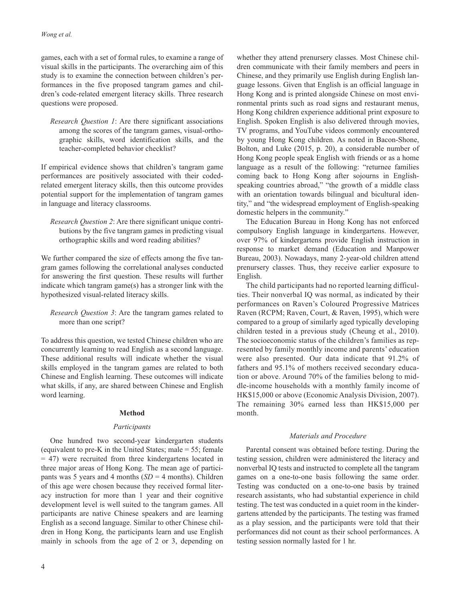games, each with a set of formal rules, to examine a range of visual skills in the participants. The overarching aim of this study is to examine the connection between children's performances in the five proposed tangram games and children's code-related emergent literacy skills. Three research questions were proposed.

*Research Question 1*: Are there significant associations among the scores of the tangram games, visual-orthographic skills, word identification skills, and the teacher-completed behavior checklist?

If empirical evidence shows that children's tangram game performances are positively associated with their codedrelated emergent literacy skills, then this outcome provides potential support for the implementation of tangram games in language and literacy classrooms.

*Research Question 2*: Are there significant unique contributions by the five tangram games in predicting visual orthographic skills and word reading abilities?

We further compared the size of effects among the five tangram games following the correlational analyses conducted for answering the first question. These results will further indicate which tangram game(s) has a stronger link with the hypothesized visual-related literacy skills.

*Research Question 3*: Are the tangram games related to more than one script?

To address this question, we tested Chinese children who are concurrently learning to read English as a second language. These additional results will indicate whether the visual skills employed in the tangram games are related to both Chinese and English learning. These outcomes will indicate what skills, if any, are shared between Chinese and English word learning.

## **Method**

## *Participants*

One hundred two second-year kindergarten students (equivalent to pre-K in the United States; male = 55; female = 47) were recruited from three kindergartens located in three major areas of Hong Kong. The mean age of participants was 5 years and 4 months  $(SD = 4$  months). Children of this age were chosen because they received formal literacy instruction for more than 1 year and their cognitive development level is well suited to the tangram games. All participants are native Chinese speakers and are learning English as a second language. Similar to other Chinese children in Hong Kong, the participants learn and use English mainly in schools from the age of 2 or 3, depending on

whether they attend prenursery classes. Most Chinese children communicate with their family members and peers in Chinese, and they primarily use English during English language lessons. Given that English is an official language in Hong Kong and is printed alongside Chinese on most environmental prints such as road signs and restaurant menus, Hong Kong children experience additional print exposure to English. Spoken English is also delivered through movies, TV programs, and YouTube videos commonly encountered by young Hong Kong children. As noted in Bacon-Shone, Bolton, and Luke (2015, p. 20), a considerable number of Hong Kong people speak English with friends or as a home language as a result of the following: "returnee families coming back to Hong Kong after sojourns in Englishspeaking countries abroad," "the growth of a middle class with an orientation towards bilingual and bicultural identity," and "the widespread employment of English-speaking domestic helpers in the community."

The Education Bureau in Hong Kong has not enforced compulsory English language in kindergartens. However, over 97% of kindergartens provide English instruction in response to market demand (Education and Manpower Bureau, 2003). Nowadays, many 2-year-old children attend prenursery classes. Thus, they receive earlier exposure to English.

The child participants had no reported learning difficulties. Their nonverbal IQ was normal, as indicated by their performances on Raven's Coloured Progressive Matrices Raven (RCPM; Raven, Court, & Raven, 1995), which were compared to a group of similarly aged typically developing children tested in a previous study (Cheung et al., 2010). The socioeconomic status of the children's families as represented by family monthly income and parents' education were also presented. Our data indicate that 91.2% of fathers and 95.1% of mothers received secondary education or above. Around 70% of the families belong to middle-income households with a monthly family income of HK\$15,000 or above (Economic Analysis Division, 2007). The remaining 30% earned less than HK\$15,000 per month.

#### *Materials and Procedure*

Parental consent was obtained before testing. During the testing session, children were administered the literacy and nonverbal IQ tests and instructed to complete all the tangram games on a one-to-one basis following the same order. Testing was conducted on a one-to-one basis by trained research assistants, who had substantial experience in child testing. The test was conducted in a quiet room in the kindergartens attended by the participants. The testing was framed as a play session, and the participants were told that their performances did not count as their school performances. A testing session normally lasted for 1 hr.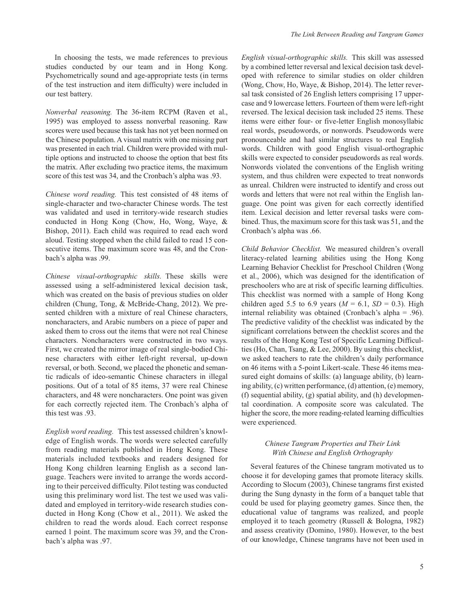In choosing the tests, we made references to previous studies conducted by our team and in Hong Kong. Psychometrically sound and age-appropriate tests (in terms of the test instruction and item difficulty) were included in our test battery.

*Nonverbal reasoning.* The 36-item RCPM (Raven et al., 1995) was employed to assess nonverbal reasoning. Raw scores were used because this task has not yet been normed on the Chinese population. A visual matrix with one missing part was presented in each trial. Children were provided with multiple options and instructed to choose the option that best fits the matrix. After excluding two practice items, the maximum score of this test was 34, and the Cronbach's alpha was .93.

*Chinese word reading.* This test consisted of 48 items of single-character and two-character Chinese words. The test was validated and used in territory-wide research studies conducted in Hong Kong (Chow, Ho, Wong, Waye, & Bishop, 2011). Each child was required to read each word aloud. Testing stopped when the child failed to read 15 consecutive items. The maximum score was 48, and the Cronbach's alpha was .99.

*Chinese visual-orthographic skills.* These skills were assessed using a self-administered lexical decision task, which was created on the basis of previous studies on older children (Chung, Tong, & McBride-Chang, 2012). We presented children with a mixture of real Chinese characters, noncharacters, and Arabic numbers on a piece of paper and asked them to cross out the items that were not real Chinese characters. Noncharacters were constructed in two ways. First, we created the mirror image of real single-bodied Chinese characters with either left-right reversal, up-down reversal, or both. Second, we placed the phonetic and semantic radicals of ideo-semantic Chinese characters in illegal positions. Out of a total of 85 items, 37 were real Chinese characters, and 48 were noncharacters. One point was given for each correctly rejected item. The Cronbach's alpha of this test was .93.

*English word reading.* This test assessed children's knowledge of English words. The words were selected carefully from reading materials published in Hong Kong. These materials included textbooks and readers designed for Hong Kong children learning English as a second language. Teachers were invited to arrange the words according to their perceived difficulty. Pilot testing was conducted using this preliminary word list. The test we used was validated and employed in territory-wide research studies conducted in Hong Kong (Chow et al., 2011). We asked the children to read the words aloud. Each correct response earned 1 point. The maximum score was 39, and the Cronbach's alpha was .97.

*English visual-orthographic skills.* This skill was assessed by a combined letter reversal and lexical decision task developed with reference to similar studies on older children (Wong, Chow, Ho, Waye, & Bishop, 2014). The letter reversal task consisted of 26 English letters comprising 17 uppercase and 9 lowercase letters. Fourteen of them were left-right reversed. The lexical decision task included 25 items. These items were either four- or five-letter English monosyllabic real words, pseudowords, or nonwords. Pseudowords were pronounceable and had similar structures to real English words. Children with good English visual-orthographic skills were expected to consider pseudowords as real words. Nonwords violated the conventions of the English writing system, and thus children were expected to treat nonwords as unreal. Children were instructed to identify and cross out words and letters that were not real within the English language. One point was given for each correctly identified item. Lexical decision and letter reversal tasks were combined. Thus, the maximum score for this task was 51, and the Cronbach's alpha was .66.

*Child Behavior Checklist.* We measured children's overall literacy-related learning abilities using the Hong Kong Learning Behavior Checklist for Preschool Children (Wong et al., 2006), which was designed for the identification of preschoolers who are at risk of specific learning difficulties. This checklist was normed with a sample of Hong Kong children aged 5.5 to 6.9 years  $(M = 6.1, SD = 0.3)$ . High internal reliability was obtained (Cronbach's alpha = .96). The predictive validity of the checklist was indicated by the significant correlations between the checklist scores and the results of the Hong Kong Test of Specific Learning Difficulties (Ho, Chan, Tsang, & Lee, 2000). By using this checklist, we asked teachers to rate the children's daily performance on 46 items with a 5-point Likert-scale. These 46 items measured eight domains of skills: (a) language ability, (b) learning ability, (c) written performance, (d) attention, (e) memory, (f) sequential ability, (g) spatial ability, and (h) developmental coordination. A composite score was calculated. The higher the score, the more reading-related learning difficulties were experienced.

# *Chinese Tangram Properties and Their Link With Chinese and English Orthography*

Several features of the Chinese tangram motivated us to choose it for developing games that promote literacy skills. According to Slocum (2003), Chinese tangrams first existed during the Sung dynasty in the form of a banquet table that could be used for playing geometry games. Since then, the educational value of tangrams was realized, and people employed it to teach geometry (Russell & Bologna, 1982) and assess creativity (Domino, 1980). However, to the best of our knowledge, Chinese tangrams have not been used in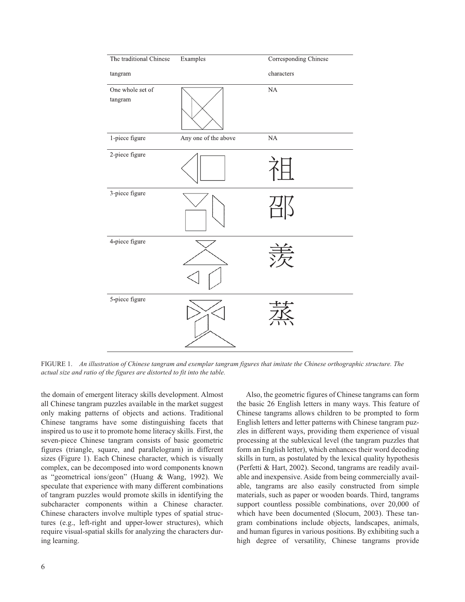| The traditional Chinese     | Examples             | Corresponding Chinese |
|-----------------------------|----------------------|-----------------------|
| tangram                     |                      | characters            |
| One whole set of<br>tangram |                      | NA                    |
| 1-piece figure              | Any one of the above | NA                    |
| 2-piece figure              |                      |                       |
| 3-piece figure              |                      |                       |
| 4-piece figure              |                      |                       |
| 5-piece figure              |                      |                       |

Figure 1. *An illustration of Chinese tangram and exemplar tangram figures that imitate the Chinese orthographic structure. The actual size and ratio of the figures are distorted to fit into the table.*

the domain of emergent literacy skills development. Almost all Chinese tangram puzzles available in the market suggest only making patterns of objects and actions. Traditional Chinese tangrams have some distinguishing facets that inspired us to use it to promote home literacy skills. First, the seven-piece Chinese tangram consists of basic geometric figures (triangle, square, and parallelogram) in different sizes (Figure 1). Each Chinese character, which is visually complex, can be decomposed into word components known as "geometrical ions/geon" (Huang & Wang, 1992). We speculate that experience with many different combinations of tangram puzzles would promote skills in identifying the subcharacter components within a Chinese character. Chinese characters involve multiple types of spatial structures (e.g., left-right and upper-lower structures), which require visual-spatial skills for analyzing the characters during learning.

6

Also, the geometric figures of Chinese tangrams can form the basic 26 English letters in many ways. This feature of Chinese tangrams allows children to be prompted to form English letters and letter patterns with Chinese tangram puzzles in different ways, providing them experience of visual processing at the sublexical level (the tangram puzzles that form an English letter), which enhances their word decoding skills in turn, as postulated by the lexical quality hypothesis (Perfetti & Hart, 2002). Second, tangrams are readily available and inexpensive. Aside from being commercially available, tangrams are also easily constructed from simple materials, such as paper or wooden boards. Third, tangrams support countless possible combinations, over 20,000 of which have been documented (Slocum, 2003). These tangram combinations include objects, landscapes, animals, and human figures in various positions. By exhibiting such a high degree of versatility, Chinese tangrams provide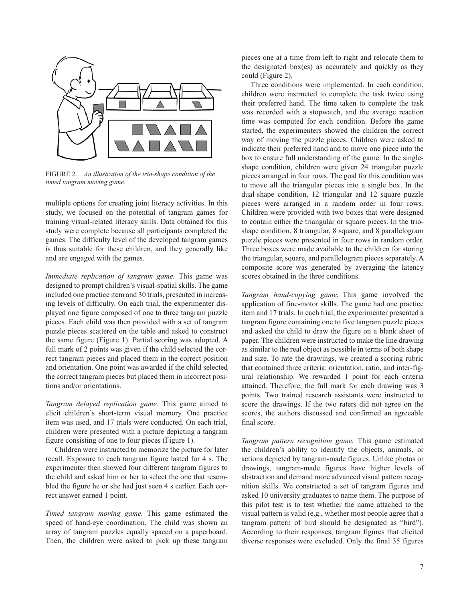

FIGURE 2. An illustration of the trio-shape condition of the *timed tangram moving game.*

multiple options for creating joint literacy activities. In this study, we focused on the potential of tangram games for training visual-related literacy skills. Data obtained for this study were complete because all participants completed the games. The difficulty level of the developed tangram games is thus suitable for these children, and they generally like and are engaged with the games.

*Immediate replication of tangram game.* This game was designed to prompt children's visual-spatial skills. The game included one practice item and 30 trials, presented in increasing levels of difficulty. On each trial, the experimenter displayed one figure composed of one to three tangram puzzle pieces. Each child was then provided with a set of tangram puzzle pieces scattered on the table and asked to construct the same figure (Figure 1). Partial scoring was adopted. A full mark of 2 points was given if the child selected the correct tangram pieces and placed them in the correct position and orientation. One point was awarded if the child selected the correct tangram pieces but placed them in incorrect positions and/or orientations.

*Tangram delayed replication game.* This game aimed to elicit children's short-term visual memory. One practice item was used, and 17 trials were conducted. On each trial, children were presented with a picture depicting a tangram figure consisting of one to four pieces (Figure 1).

Children were instructed to memorize the picture for later recall. Exposure to each tangram figure lasted for 4 s. The experimenter then showed four different tangram figures to the child and asked him or her to select the one that resembled the figure he or she had just seen 4 s earlier. Each correct answer earned 1 point.

*Timed tangram moving game.* This game estimated the speed of hand-eye coordination. The child was shown an array of tangram puzzles equally spaced on a paperboard. Then, the children were asked to pick up these tangram

pieces one at a time from left to right and relocate them to the designated box(es) as accurately and quickly as they could (Figure 2).

Three conditions were implemented. In each condition, children were instructed to complete the task twice using their preferred hand. The time taken to complete the task was recorded with a stopwatch, and the average reaction time was computed for each condition. Before the game started, the experimenters showed the children the correct way of moving the puzzle pieces. Children were asked to indicate their preferred hand and to move one piece into the box to ensure full understanding of the game. In the singleshape condition, children were given 24 triangular puzzle pieces arranged in four rows. The goal for this condition was to move all the triangular pieces into a single box. In the dual-shape condition, 12 triangular and 12 square puzzle pieces were arranged in a random order in four rows. Children were provided with two boxes that were designed to contain either the triangular or square pieces. In the trioshape condition, 8 triangular, 8 square, and 8 parallelogram puzzle pieces were presented in four rows in random order. Three boxes were made available to the children for storing the triangular, square, and parallelogram pieces separately. A composite score was generated by averaging the latency scores obtained in the three conditions.

*Tangram hand-copying game.* This game involved the application of fine-motor skills. The game had one practice item and 17 trials. In each trial, the experimenter presented a tangram figure containing one to five tangram puzzle pieces and asked the child to draw the figure on a blank sheet of paper. The children were instructed to make the line drawing as similar to the real object as possible in terms of both shape and size. To rate the drawings, we created a scoring rubric that contained three criteria: orientation, ratio, and inter-figural relationship. We rewarded 1 point for each criteria attained. Therefore, the full mark for each drawing was 3 points. Two trained research assistants were instructed to score the drawings. If the two raters did not agree on the scores, the authors discussed and confirmed an agreeable final score.

*Tangram pattern recognition game.* This game estimated the children's ability to identify the objects, animals, or actions depicted by tangram-made figures. Unlike photos or drawings, tangram-made figures have higher levels of abstraction and demand more advanced visual pattern recognition skills. We constructed a set of tangram figures and asked 10 university graduates to name them. The purpose of this pilot test is to test whether the name attached to the visual pattern is valid (e.g., whether most people agree that a tangram pattern of bird should be designated as "bird"). According to their responses, tangram figures that elicited diverse responses were excluded. Only the final 35 figures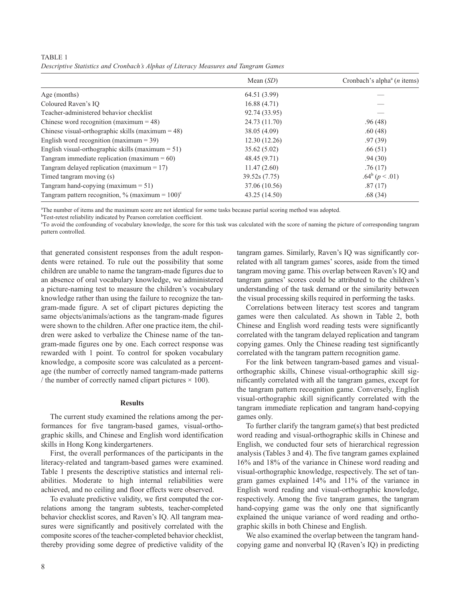TABLE 1 *Descriptive Statistics and Cronbach's Alphas of Literacy Measures and Tangram Games*

|                                                                | Mean $(SD)$   | Cronbach's alpha <sup><math>a</math></sup> ( <i>n</i> items) |
|----------------------------------------------------------------|---------------|--------------------------------------------------------------|
| Age (months)                                                   | 64.51 (3.99)  |                                                              |
| Coloured Raven's IO                                            | 16.88(4.71)   |                                                              |
| Teacher-administered behavior checklist                        | 92.74 (33.95) |                                                              |
| Chinese word recognition (maximum $= 48$ )                     | 24.73 (11.70) | .96(48)                                                      |
| Chinese visual-orthographic skills (maximum $=$ 48)            | 38.05 (4.09)  | .60(48)                                                      |
| English word recognition (maximum $=$ 39)                      | 12.30(12.26)  | .97(39)                                                      |
| English visual-orthographic skills (maximum $= 51$ )           | 35.62 (5.02)  | .66(51)                                                      |
| Tangram immediate replication (maximum $= 60$ )                | 48.45 (9.71)  | .94(30)                                                      |
| Tangram delayed replication (maximum $= 17$ )                  | 11.47(2.60)   | .76(17)                                                      |
| Timed tangram moving (s)                                       | 39.52s (7.75) | .64 <sup>b</sup> ( $p < .01$ )                               |
| Tangram hand-copying (maximum $= 51$ )                         | 37.06 (10.56) | .87(17)                                                      |
| Tangram pattern recognition, % (maximum = $100$ ) <sup>c</sup> | 43.25 (14.50) | .68(34)                                                      |

a The number of items and the maximum score are not identical for some tasks because partial scoring method was adopted.

<sup>b</sup>Test-retest reliability indicated by Pearson correlation coefficient.

c To avoid the confounding of vocabulary knowledge, the score for this task was calculated with the score of naming the picture of corresponding tangram pattern controlled.

that generated consistent responses from the adult respondents were retained. To rule out the possibility that some children are unable to name the tangram-made figures due to an absence of oral vocabulary knowledge, we administered a picture-naming test to measure the children's vocabulary knowledge rather than using the failure to recognize the tangram-made figure. A set of clipart pictures depicting the same objects/animals/actions as the tangram-made figures were shown to the children. After one practice item, the children were asked to verbalize the Chinese name of the tangram-made figures one by one. Each correct response was rewarded with 1 point. To control for spoken vocabulary knowledge, a composite score was calculated as a percentage (the number of correctly named tangram-made patterns / the number of correctly named clipart pictures  $\times$  100).

#### **Results**

The current study examined the relations among the performances for five tangram-based games, visual-orthographic skills, and Chinese and English word identification skills in Hong Kong kindergarteners.

First, the overall performances of the participants in the literacy-related and tangram-based games were examined. Table 1 presents the descriptive statistics and internal reliabilities. Moderate to high internal reliabilities were achieved, and no ceiling and floor effects were observed.

To evaluate predictive validity, we first computed the correlations among the tangram subtests, teacher-completed behavior checklist scores, and Raven's IQ. All tangram measures were significantly and positively correlated with the composite scores of the teacher-completed behavior checklist, thereby providing some degree of predictive validity of the tangram games. Similarly, Raven's IQ was significantly correlated with all tangram games' scores, aside from the timed tangram moving game. This overlap between Raven's IQ and tangram games' scores could be attributed to the children's understanding of the task demand or the similarity between the visual processing skills required in performing the tasks.

Correlations between literacy test scores and tangram games were then calculated. As shown in Table 2, both Chinese and English word reading tests were significantly correlated with the tangram delayed replication and tangram copying games. Only the Chinese reading test significantly correlated with the tangram pattern recognition game.

For the link between tangram-based games and visualorthographic skills, Chinese visual-orthographic skill significantly correlated with all the tangram games, except for the tangram pattern recognition game. Conversely, English visual-orthographic skill significantly correlated with the tangram immediate replication and tangram hand-copying games only.

To further clarify the tangram game(s) that best predicted word reading and visual-orthographic skills in Chinese and English, we conducted four sets of hierarchical regression analysis (Tables 3 and 4). The five tangram games explained 16% and 18% of the variance in Chinese word reading and visual-orthographic knowledge, respectively. The set of tangram games explained 14% and 11% of the variance in English word reading and visual-orthographic knowledge, respectively. Among the five tangram games, the tangram hand-copying game was the only one that significantly explained the unique variance of word reading and orthographic skills in both Chinese and English.

We also examined the overlap between the tangram handcopying game and nonverbal IQ (Raven's IQ) in predicting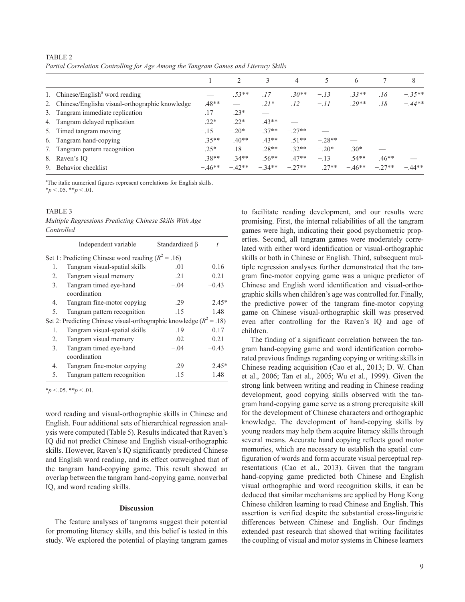|                                                   |          | $\mathfrak{D}_{\mathfrak{p}}$ | 3       | 4       | 5        | 6        |         | 8        |
|---------------------------------------------------|----------|-------------------------------|---------|---------|----------|----------|---------|----------|
| 1. Chinese/English <sup>a</sup> word reading      |          | $.53**$                       | .17     | $.30**$ | $-.13$   | $.33**$  | .16     | $-.35**$ |
| 2. Chinese/Englisha visual-orthographic knowledge | $.48**$  |                               | $.21*$  | .12     | $-.11$   | $.29**$  | .18     | $-.44**$ |
| 3. Tangram immediate replication                  | .17      | $.23*$                        |         |         |          |          |         |          |
| 4. Tangram delayed replication                    | $.22*$   | $.22*$                        | $.43**$ |         |          |          |         |          |
| 5. Timed tangram moving                           | $-.15$   | $-.20*$                       | $-37**$ | $-27**$ |          |          |         |          |
| 6. Tangram hand-copying                           | $.35**$  | $.40**$                       | $.43**$ | $.51**$ | $-.28**$ |          |         |          |
| 7. Tangram pattern recognition                    | $.25*$   | .18                           | $.28**$ | $32**$  | $-.20*$  | $.30*$   |         |          |
| 8. Raven's IO                                     | $.38**$  | $.34**$                       | $.56**$ | $.47**$ | $-.13$   | $.54**$  | $.46**$ |          |
| 9. Behavior checklist                             | $-.46**$ | $-42**$                       | $-34**$ | $-27**$ | $27**$   | $-.46**$ | $-27**$ | $-44**$  |
|                                                   |          |                               |         |         |          |          |         |          |

TABLE 2 *Partial Correlation Controlling for Age Among the Tangram Games and Literacy Skills*

<sup>a</sup>The italic numerical figures represent correlations for English skills.  $*_{p}$  < .05.  $*_{p}$  < .01.

## TABLE<sub>3</sub>

*Multiple Regressions Predicting Chinese Skills With Age Controlled*

|    | Independent variable                                                    | Standardized B |         |  |  |  |  |  |
|----|-------------------------------------------------------------------------|----------------|---------|--|--|--|--|--|
|    | Set 1: Predicting Chinese word reading ( $R^2$ = .16)                   |                |         |  |  |  |  |  |
| 1. | Tangram visual-spatial skills                                           | .01            | 0.16    |  |  |  |  |  |
| 2. | Tangram visual memory                                                   | .21            | 0.21    |  |  |  |  |  |
| 3. | Tangram timed eye-hand<br>coordination                                  | $-.04$         | $-0.43$ |  |  |  |  |  |
| 4. | Tangram fine-motor copying                                              | .29            | $2.45*$ |  |  |  |  |  |
| 5. | Tangram pattern recognition                                             | .15            | 1.48    |  |  |  |  |  |
|    | Set 2: Predicting Chinese visual-orthographic knowledge ( $R^2 = .18$ ) |                |         |  |  |  |  |  |
| 1. | Tangram visual-spatial skills                                           | .19            | 0.17    |  |  |  |  |  |
| 2. | Tangram visual memory                                                   | .02            | 0.21    |  |  |  |  |  |
| 3. | Tangram timed eye-hand<br>coordination                                  | $-.04$         | $-0.43$ |  |  |  |  |  |
| 4. | Tangram fine-motor copying                                              | .29            | $2.45*$ |  |  |  |  |  |
| 5. | Tangram pattern recognition                                             | .15            | 1.48    |  |  |  |  |  |

 $**p* < .05.$  \*\* $$ 

word reading and visual-orthographic skills in Chinese and English. Four additional sets of hierarchical regression analysis were computed (Table 5). Results indicated that Raven's IQ did not predict Chinese and English visual-orthographic skills. However, Raven's IQ significantly predicted Chinese and English word reading, and its effect outweighed that of the tangram hand-copying game. This result showed an overlap between the tangram hand-copying game, nonverbal IQ, and word reading skills.

#### **Discussion**

The feature analyses of tangrams suggest their potential for promoting literacy skills, and this belief is tested in this study. We explored the potential of playing tangram games

to facilitate reading development, and our results were promising. First, the internal reliabilities of all the tangram games were high, indicating their good psychometric properties. Second, all tangram games were moderately correlated with either word identification or visual-orthographic skills or both in Chinese or English. Third, subsequent multiple regression analyses further demonstrated that the tangram fine-motor copying game was a unique predictor of Chinese and English word identification and visual-orthographic skills when children's age was controlled for. Finally, the predictive power of the tangram fine-motor copying game on Chinese visual-orthographic skill was preserved even after controlling for the Raven's IQ and age of children.

The finding of a significant correlation between the tangram hand-copying game and word identification corroborated previous findings regarding copying or writing skills in Chinese reading acquisition (Cao et al., 2013; D. W. Chan et al., 2006; Tan et al., 2005; Wu et al., 1999). Given the strong link between writing and reading in Chinese reading development, good copying skills observed with the tangram hand-copying game serve as a strong prerequisite skill for the development of Chinese characters and orthographic knowledge. The development of hand-copying skills by young readers may help them acquire literacy skills through several means. Accurate hand copying reflects good motor memories, which are necessary to establish the spatial configuration of words and form accurate visual perceptual representations (Cao et al., 2013). Given that the tangram hand-copying game predicted both Chinese and English visual orthographic and word recognition skills, it can be deduced that similar mechanisms are applied by Hong Kong Chinese children learning to read Chinese and English. This assertion is verified despite the substantial cross-linguistic differences between Chinese and English. Our findings extended past research that showed that writing facilitates the coupling of visual and motor systems in Chinese learners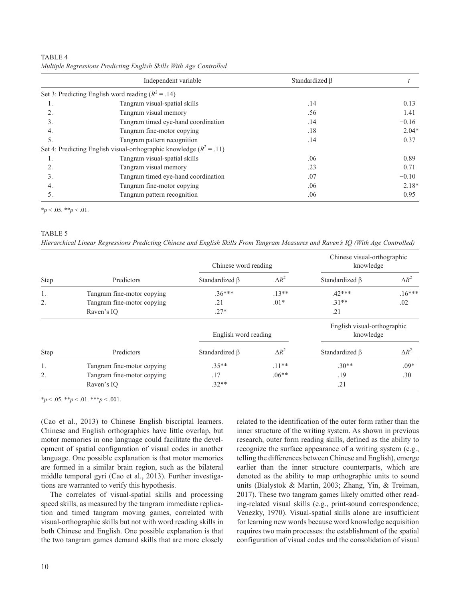Independent variable Standardized β *t* Set 3: Predicting English word reading  $(R^2 = .14)$ 1. Tangram visual-spatial skills **1.14** 0.13 2. Tangram visual memory 2. 56 56 1.41 3. Tangram timed eye-hand coordination .14 −0.16 4. Tangram fine-motor copying 2.04\* and 2.04\* 2.04\* 5. Tangram pattern recognition 214 0.37 Set 4: Predicting English visual-orthographic knowledge  $(R^2 = .11)$ 1. Tangram visual-spatial skills 6.06 0.89 and 0.89 0.89 and 0.89 and 0.89 and 0.89 and 0.89 and 0.89 and 0.89 and 0.89 and 0.89 and 0.89 and 0.89 and 0.89 and 0.89 and 0.89 and 0.89 and 0.89 and 0.89 and 0.89 and 0.89 and 2. Tangram visual memory 23 23 0.71 3. Tangram timed eye-hand coordination .07 −0.10 −0.10 4. Tangram fine-motor copying 2.18\* 5. Tangram pattern recognition 2005 100 0.95 and 2006 10.95 and 2006 10.95 and 2008 10.95 and 2008 10.95 and 2008 100 0.95 and 2008 100 0.95 and 2008 100 0.95 and 2008 100 0.95 and 2008 100 0.95 and 2008 100 0.95 and 2008

| TABLE 4                                                            |  |
|--------------------------------------------------------------------|--|
| Multiple Regressions Predicting English Skills With Age Controlled |  |

 $*_{p}$  < .05.  $*_{p}$  < .01.

## TABLE 5

| Hierarchical Linear Regressions Predicting Chinese and English Skills From Tangram Measures and Raven's IQ (With Age Controlled) |  |  |  |
|----------------------------------------------------------------------------------------------------------------------------------|--|--|--|
|----------------------------------------------------------------------------------------------------------------------------------|--|--|--|

|             |                            | Chinese word reading |              | Chinese visual-orthographic<br>knowledge |              |  |
|-------------|----------------------------|----------------------|--------------|------------------------------------------|--------------|--|
| Step        | Predictors                 | Standardized $\beta$ | $\Delta R^2$ | Standardized B                           | $\Delta R^2$ |  |
| 1.          | Tangram fine-motor copying | $.36***$             | $.13**$      | $.42***$                                 | $.16***$     |  |
| 2.          | Tangram fine-motor copying | .21                  | $.01*$       | $.31**$                                  | .02          |  |
|             | Raven's IQ                 | $.27*$               |              | .21                                      |              |  |
|             |                            | English word reading |              | English visual-orthographic<br>knowledge |              |  |
| <b>Step</b> | Predictors                 | Standardized B       | $\Delta R^2$ | Standardized B                           | $\Delta R^2$ |  |
| 1.          | Tangram fine-motor copying | $.35**$              | $.11**$      | $.30**$                                  | $.09*$       |  |
| 2.          | Tangram fine-motor copying | .17                  | $.06**$      | .19                                      | .30          |  |
|             | Raven's IO                 | $.32**$              |              | .21                                      |              |  |

 $*_{p}$  < .05.  $*_{p}$  < .01.  $*_{p}$  < .001.

(Cao et al., 2013) to Chinese–English biscriptal learners. Chinese and English orthographies have little overlap, but motor memories in one language could facilitate the development of spatial configuration of visual codes in another language. One possible explanation is that motor memories are formed in a similar brain region, such as the bilateral middle temporal gyri (Cao et al., 2013). Further investigations are warranted to verify this hypothesis.

The correlates of visual-spatial skills and processing speed skills, as measured by the tangram immediate replication and timed tangram moving games, correlated with visual-orthographic skills but not with word reading skills in both Chinese and English. One possible explanation is that the two tangram games demand skills that are more closely related to the identification of the outer form rather than the inner structure of the writing system. As shown in previous research, outer form reading skills, defined as the ability to recognize the surface appearance of a writing system (e.g., telling the differences between Chinese and English), emerge earlier than the inner structure counterparts, which are denoted as the ability to map orthographic units to sound units (Bialystok & Martin, 2003; Zhang, Yin, & Treiman, 2017). These two tangram games likely omitted other reading-related visual skills (e.g., print-sound correspondence; Venezky, 1970). Visual-spatial skills alone are insufficient for learning new words because word knowledge acquisition requires two main processes: the establishment of the spatial configuration of visual codes and the consolidation of visual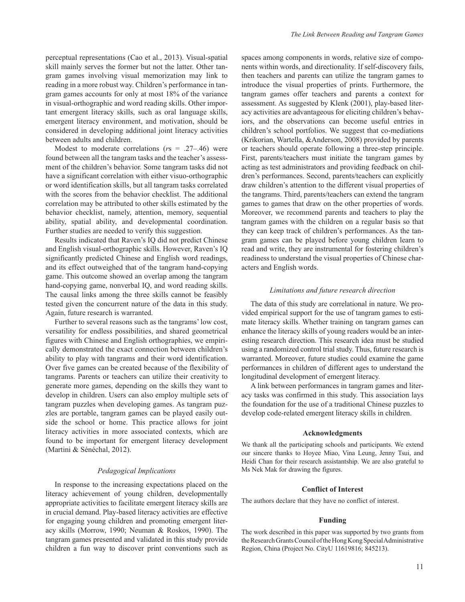perceptual representations (Cao et al., 2013). Visual-spatial skill mainly serves the former but not the latter. Other tangram games involving visual memorization may link to reading in a more robust way. Children's performance in tangram games accounts for only at most 18% of the variance in visual-orthographic and word reading skills. Other important emergent literacy skills, such as oral language skills, emergent literacy environment, and motivation, should be considered in developing additional joint literacy activities between adults and children.

Modest to moderate correlations (*r*s = .27–.46) were found between all the tangram tasks and the teacher's assessment of the children's behavior. Some tangram tasks did not have a significant correlation with either visuo-orthographic or word identification skills, but all tangram tasks correlated with the scores from the behavior checklist. The additional correlation may be attributed to other skills estimated by the behavior checklist, namely, attention, memory, sequential ability, spatial ability, and developmental coordination. Further studies are needed to verify this suggestion.

Results indicated that Raven's IQ did not predict Chinese and English visual-orthographic skills. However, Raven's IQ significantly predicted Chinese and English word readings, and its effect outweighed that of the tangram hand-copying game. This outcome showed an overlap among the tangram hand-copying game, nonverbal IQ, and word reading skills. The causal links among the three skills cannot be feasibly tested given the concurrent nature of the data in this study. Again, future research is warranted.

Further to several reasons such as the tangrams' low cost, versatility for endless possibilities, and shared geometrical figures with Chinese and English orthographies, we empirically demonstrated the exact connection between children's ability to play with tangrams and their word identification. Over five games can be created because of the flexibility of tangrams. Parents or teachers can utilize their creativity to generate more games, depending on the skills they want to develop in children. Users can also employ multiple sets of tangram puzzles when developing games. As tangram puzzles are portable, tangram games can be played easily outside the school or home. This practice allows for joint literacy activities in more associated contexts, which are found to be important for emergent literacy development (Martini & Sénéchal, 2012).

#### *Pedagogical Implications*

In response to the increasing expectations placed on the literacy achievement of young children, developmentally appropriate activities to facilitate emergent literacy skills are in crucial demand. Play-based literacy activities are effective for engaging young children and promoting emergent literacy skills (Morrow, 1990; Neuman & Roskos, 1990). The tangram games presented and validated in this study provide children a fun way to discover print conventions such as

spaces among components in words, relative size of components within words, and directionality. If self-discovery fails, then teachers and parents can utilize the tangram games to introduce the visual properties of prints. Furthermore, the tangram games offer teachers and parents a context for assessment. As suggested by Klenk (2001), play-based literacy activities are advantageous for eliciting children's behaviors, and the observations can become useful entries in children's school portfolios. We suggest that co-mediations (Krikorian, Wartella, &Anderson, 2008) provided by parents or teachers should operate following a three-step principle. First, parents/teachers must initiate the tangram games by acting as test administrators and providing feedback on children's performances. Second, parents/teachers can explicitly draw children's attention to the different visual properties of the tangrams. Third, parents/teachers can extend the tangram games to games that draw on the other properties of words. Moreover, we recommend parents and teachers to play the tangram games with the children on a regular basis so that they can keep track of children's performances. As the tangram games can be played before young children learn to read and write, they are instrumental for fostering children's readiness to understand the visual properties of Chinese characters and English words.

#### *Limitations and future research direction*

The data of this study are correlational in nature. We provided empirical support for the use of tangram games to estimate literacy skills. Whether training on tangram games can enhance the literacy skills of young readers would be an interesting research direction. This research idea must be studied using a randomized control trial study. Thus, future research is warranted. Moreover, future studies could examine the game performances in children of different ages to understand the longitudinal development of emergent literacy.

A link between performances in tangram games and literacy tasks was confirmed in this study. This association lays the foundation for the use of a traditional Chinese puzzles to develop code-related emergent literacy skills in children.

#### **Acknowledgments**

We thank all the participating schools and participants. We extend our sincere thanks to Hoyee Miao, Vina Leung, Jenny Tsui, and Heidi Chan for their research assistantship. We are also grateful to Ms Nek Mak for drawing the figures.

#### **Conflict of Interest**

The authors declare that they have no conflict of interest.

## **Funding**

The work described in this paper was supported by two grants from the Research Grants Council of the Hong Kong Special Administrative Region, China (Project No. CityU 11619816; 845213).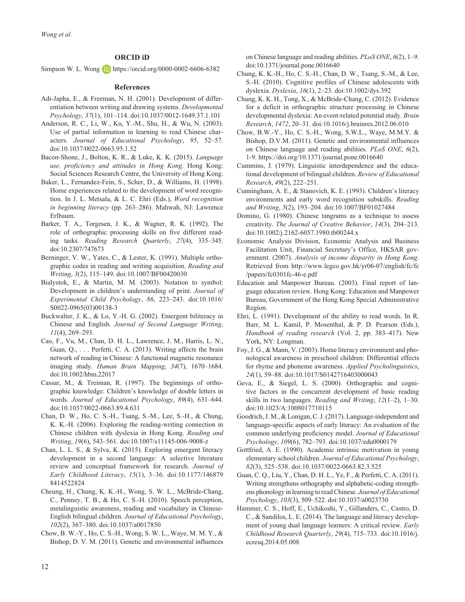## **ORCID iD**

Simpson W. L. Wong **D** <https://orcid.org/0000-0002-6606-6382>

#### **References**

- Adi-Japha, E., & Freeman, N. H. (2001). Development of differentiation between writing and drawing systems. *Developmental Psychology*, *37*(1), 101–114. doi:10.1037/0012-1649.37.1.101
- Anderson, R. C., Li, W., Ku, Y.-M., Shu, H., & Wu, N. (2003). Use of partial information in learning to read Chinese characters. *Journal of Educational Psychology*, *95*, 52–57. doi:10.1037/0022-0663.95.1.52
- Bacon-Shone, J., Bolton, K. R., & Luke, K. K. (2015). *Language use, proficiency and attitudes in Hong Kong*. Hong Kong: Social Sciences Research Centre, the University of Hong Kong.
- Baker, L., Fernandez-Fein, S., Scher, D., & Williams, H. (1998). Home experiences related to the development of word recognition. In J. L. Metsala, & L. C. Ehri (Eds.), *Word recognition in beginning literacy* (pp. 263–286). Mahwah, NJ: Lawrence Erlbaum.
- Barker, T. A., Torgesen, J. K., & Wagner, R. K. (1992). The role of orthographic processing skills on five different reading tasks. *Reading Research Quarterly*, *27*(4), 335–345. doi:10.2307/747673
- Berninger, V. W., Yates, C., & Lester, K. (1991). Multiple orthographic codes in reading and writing acquisition. *Reading and Writing*, *3*(2), 115–149. doi:10.1007/BF00420030
- Bialystok, E., & Martin, M. M. (2003). Notation to symbol: Development in children's understanding of print. *Journal of Experimental Child Psychology*, *86*, 223–243. doi:10.1016/ S0022-0965(03)00138-3
- Buckwalter, J. K., & Lo, Y.-H. G. (2002). Emergent biliteracy in Chinese and English. *Journal of Second Language Writing*, *11*(4), 269–293.
- Cao, F., Vu, M., Chan, D. H. L., Lawrence, J. M., Harris, L. N., Guan, Q., . . . Perfetti, C. A. (2013). Writing affects the brain network of reading in Chinese: A functional magnetic resonance imaging study. *Human Brain Mapping*, *34*(7), 1670–1684. doi:10.1002/hbm.22017
- Cassar, M., & Treiman, R. (1997). The beginnings of orthographic knowledge: Children's knowledge of double letters in words. *Journal of Educational Psychology*, *89*(4), 631–644. doi:10.1037/0022-0663.89.4.631
- Chan, D. W., Ho, C. S.-H., Tsang, S.-M., Lee, S.-H., & Chung, K. K.-H. (2006). Exploring the reading-writing connection in Chinese children with dyslexia in Hong Kong. *Reading and Writing*, *19*(6), 543–561. doi:10.1007/s11145-006-9008-z
- Chan, L. L. S., & Sylva, K. (2015). Exploring emergent literacy development in a second language: A selective literature review and conceptual framework for research. *Journal of Early Childhood Literacy*, *15*(1), 3–36. doi:10.1177/146879 8414522824
- Cheung, H., Chung, K. K.-H., Wong, S. W. L., McBride-Chang, C., Penney, T. B., & Ho, C. S.-H. (2010). Speech perception, metalinguistic awareness, reading and vocabulary in Chinese-English bilingual children. *Journal of Educational Psychology*, *102*(2), 367–380. doi:10.1037/a0017850
- Chow, B. W.-Y., Ho, C. S.-H., Wong, S. W. L., Waye, M. M. Y., & Bishop, D. V. M. (2011). Genetic and environmental influences

on Chinese language and reading abilities. *PLoS ONE*, *6*(2), 1–9. doi:10.1371/journal.pone.0016640

- Chung, K. K.-H., Ho, C. S.-H., Chan, D. W., Tsang, S.-M., & Lee, S.-H. (2010). Cognitive profiles of Chinese adolescents with dyslexia. *Dyslexia*, *16*(1), 2–23. doi:10.1002/dys.392
- Chung, K. K. H., Tong, X., & McBride-Chang, C. (2012). Evidence for a deficit in orthographic structure processing in Chinese developmental dyslexia: An event-related potential study. *Brain Research*, *1472*, 20–31. doi:10.1016/j.brainres.2012.06.010
- Chow, B.W.-Y., Ho, C. S.-H., Wong, S.W.L., Waye, M.M.Y. & Bishop, D.V.M. (2011). Genetic and environmental influences on Chinese language and reading abilities. *PLoS ONE*, *6*(2), 1-9.<https://doi.org/10.1371/journal.pone.0016640>
- Cummins, J. (1979). Linguistic interdependence and the educational development of bilingual children. *Review of Educational Research*, *49*(2), 222–251.
- Cunningham, A. E., & Stanovich, K. E. (1993). Children's literacy environments and early word recognition subskills. *Reading and Writing*, *5*(2), 193–204. doi:10.1007/BF01027484
- Domino, G. (1980). Chinese tangrams as a technique to assess creativity. *The Journal of Creative Behavior*, *14*(3), 204–213. doi:10.1002/j.2162-6057.1980.tb00244.x
- Economic Analysis Division, Economic Analysis and Business Facilitation Unit, Financial Secretary's Office, HKSAR government. (2007). *Analysis of income disparity in Hong Kong*. Retrieved from [http://www.legco.gov.hk/yr06-07/english/fc/fc](http://www.legco.gov.hk/yr06-07/english/fc/fc/papers/fc0301fc-46-e.pdf) [/papers/fc0301fc-46-e.pdf](http://www.legco.gov.hk/yr06-07/english/fc/fc/papers/fc0301fc-46-e.pdf)
- Education and Manpower Bureau. (2003). Final report of language education review. Hong Kong: Education and Manpower Bureau, Government of the Hong Kong Special Administrative Region.
- Ehri, L. (1991). Development of the ability to read words. In R. Barr, M. L. Kamil, P. Mosenthal, & P. D. Pearson (Eds.), *Handbook of reading research* (Vol. 2, pp. 383–417). New York, NY: Longman.
- Foy, J. G., & Mann, V. (2003). Home literacy environment and phonological awareness in preschool children: Differential effects for rhyme and phoneme awareness. *Applied Psycholinguistics*, *24*(1), 59–88. doi:10.1017/S0142716403000043
- Geva, E., & Siegel, L. S. (2000). Orthographic and cognitive factors in the concurrent development of basic reading skills in two languages. *Reading and Writing*, *12*(1–2), 1–30. doi:10.1023/A:1008017710115
- Goodrich, J. M., & Lonigan, C. J. (2017). Language-independent and language-specific aspects of early literacy: An evaluation of the common underlying proficiency model. *Journal of Educational Psychology*, *109*(6), 782–793. doi:10.1037/edu0000179
- Gottfried, A. E. (1990). Academic intrinsic motivation in young elementary school children. *Journal of Educational Psychology*, *82*(3), 525–538. doi:10.1037/0022-0663.82.3.525
- Guan, C. Q., Liu, Y., Chan, D. H. L., Ye, F., & Perfetti, C. A. (2011). Writing strengthens orthography and alphabetic-coding strengthens phonology in learning to read Chinese. *Journal of Educational Psychology*, *103*(3), 509–522. doi:10.1037/a0023730
- Hammer, C. S., Hoff, E., Uchikoshi, Y., Gillanders, C., Castro, D. C., & Sandilos, L. E. (2014). The language and literacy development of young dual language learners: A critical review. *Early Childhood Research Quarterly*, *29*(4), 715–733. doi:10.1016/j. ecresq.2014.05.008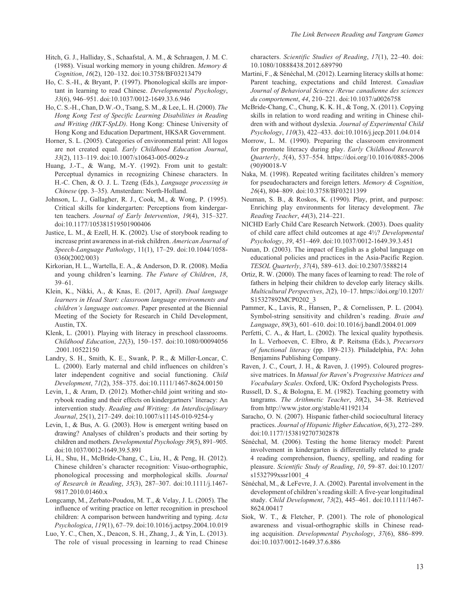- Hitch, G. J., Halliday, S., Schaafstal, A. M., & Schraagen, J. M. C. (1988). Visual working memory in young children. *Memory & Cognition*, *16*(2), 120–132. doi:10.3758/BF03213479
- Ho, C. S.-H., & Bryant, P. (1997). Phonological skills are important in learning to read Chinese. *Developmental Psychology*, *33*(6), 946–951. doi:10.1037/0012-1649.33.6.946
- Ho, C. S.-H., Chan, D.W.-O., Tsang, S. M., & Lee, L. H. (2000). *The Hong Kong Test of Specific Learning Disabilities in Reading and Writing (HKT-SpLD)*. Hong Kong: Chinese University of Hong Kong and Education Department, HKSAR Government.
- Horner, S. L. (2005). Categories of environmental print: All logos are not created equal. *Early Childhood Education Journal*, *33*(2), 113–119. doi:10.1007/s10643-005-0029-z
- Huang, J.-T., & Wang, M.-Y. (1992). From unit to gestalt: Perceptual dynamics in recognizing Chinese characters. In H.-C. Chen, & O. J. L. Tzeng (Eds.), *Language processing in Chinese* (pp. 3–35). Amsterdam: North-Holland.
- Johnson, L. J., Gallagher, R. J., Cook, M., & Wong, P. (1995). Critical skills for kindergarten: Perceptions from kindergarten teachers. *Journal of Early Intervention*, *19*(4), 315–327. doi:10.1177/105381519501900406
- Justice, L. M., & Ezell, H. K. (2002). Use of storybook reading to increase print awareness in at-risk children. *American Journal of Speech-Language Pathology*, 11(1), 17–29. doi:10.1044/1058- 0360(2002/003)
- Kirkorian, H. L., Wartella, E. A., & Anderson, D. R. (2008). Media and young children's learning. *The Future of Children*, *18*, 39–61.
- Klein, K., Nikki, A., & Knas, E. (2017, April). *Dual language learners in Head Start: classroom language environments and children's language outcomes*. Paper presented at the Biennial Meeting of the Society for Research in Child Development, Austin, TX.
- Klenk, L. (2001). Playing with literacy in preschool classrooms. *Childhood Education*, *22*(3), 150–157. doi:10.1080/00094056 .2001.10522150
- Landry, S. H., Smith, K. E., Swank, P. R., & Miller-Loncar, C. L. (2000). Early maternal and child influences on children's later independent cognitive and social functioning. *Child Development*, *71*(2), 358–375. doi:10.1111/1467-8624.00150
- Levin, I., & Aram, D. (2012). Mother-child joint writing and storybook reading and their effects on kindergartners' literacy: An intervention study. *Reading and Writing: An Interdisciplinary Journal*, 25(1), 217–249. doi:10.1007/s11145-010-9254-y
- Levin, I., & Bus, A. G. (2003). How is emergent writing based on drawing? Analyses of children's products and their sorting by children and mothers. *Developmental Psychology 39*(5), 891–905. doi:10.1037/0012-1649.39.5.891
- Li, H., Shu, H., McBride-Chang, C., Liu, H., & Peng, H. (2012). Chinese children's character recognition: Visuo-orthographic, phonological processing and morphological skills. *Journal of Research in Reading*, *35*(3), 287–307. doi:10.1111/j.1467- 9817.2010.01460.x
- Longcamp, M., Zerbato-Poudou, M. T., & Velay, J. L. (2005). The influence of writing practice on letter recognition in preschool children: A comparison between handwriting and typing. *Acta Psychologica*, *119*(1), 67–79. doi:10.1016/j.actpsy.2004.10.019
- Luo, Y. C., Chen, X., Deacon, S. H., Zhang, J., & Yin, L. (2013). The role of visual processing in learning to read Chinese

characters. *Scientific Studies of Reading*, *17*(1), 22–40. doi: 10.1080/10888438.2012.689790

- Martini, F., & Sénéchal, M. (2012). Learning literacy skills at home: Parent teaching, expectations and child Interest. *Canadian Journal of Behavioral Science /Revue canadienne des sciences du comportement*, *44*, 210–221. doi:10.1037/a0026758
- McBride-Chang, C., Chung, K. K. H., & Tong, X. (2011). Copying skills in relation to word reading and writing in Chinese children with and without dyslexia. *Journal of Experimental Child Psychology*, *110*(3), 422–433. doi:10.1016/j.jecp.2011.04.014
- Morrow, L. M. (1990). Preparing the classroom environment for promote literacy during play. *Early Childhood Research Quarterly*, *5*(4), 537–554. [https://doi.org/10.1016/0885-2006](https://doi.org/10.1016/0885-2006(90)90018-V) [\(90\)90018-V](https://doi.org/10.1016/0885-2006(90)90018-V)
- Naka, M. (1998). Repeated writing facilitates children's memory for pseudocharacters and foreign letters. *Memory & Cognition*, *26*(4), 804–809. doi:10.3758/BF03211399
- Neuman, S. B., & Roskos, K. (1990). Play, print, and purpose: Enriching play environments for literacy development. *The Reading Teacher*, *44*(3), 214–221.
- NICHD Early Child Care Research Network. (2003). Does quality of child care affect child outcomes at age 4½? *Developmental Psychology*, *39*, 451–469. doi:10.1037/0012-1649.39.3.451
- Nunan, D. (2003). The impact of English as a global language on educational policies and practices in the Asia-Pacific Region. *TESOL Quarterly*, *37*(4), 589–613. doi:10.2307/3588214
- Ortiz, R. W. (2000). The many faces of learning to read: The role of fathers in helping their children to develop early literacy skills. *Multicultural Perspectives*, *2*(2), 10–17. [https://doi.org/10.1207/](https://doi.org/10.1207/S15327892MCP0202_3) [S15327892MCP0202\\_3](https://doi.org/10.1207/S15327892MCP0202_3)
- Pammer, K., Lavis, R., Hansen, P., & Cornelissen, P. L. (2004). Symbol-string sensitivity and children's reading. *Brain and Language*, *89*(3), 601–610. doi:10.1016/j.bandl.2004.01.009
- Perfetti, C. A., & Hart, L. (2002). The lexical quality hypothesis. In L. Verhoeven, C. Elbro, & P. Reitsma (Eds.), *Precursors of functional literacy* (pp. 189–213). Philadelphia, PA: John Benjamins Publishing Company.
- Raven, J. C., Court, J. H., & Raven, J. (1995). Coloured progressive matrices. In *Manual for Raven*'s *Progressive Matrices and Vocabulary Scales*. Oxford, UK: Oxford Psychologists Press.
- Russell, D. S., & Bologna, E. M. (1982). Teaching geometry with tangrams. *The Arithmetic Teacher*, *30*(2), 34–38. Retrieved from <http://www.jstor.org/stable/41192134>
- Saracho, O. N. (2007). Hispanic father-child sociocultural literacy practices. *Journal of Hispanic Higher Education*, *6*(3), 272–289. doi:10.1177/1538192707302878
- Sénéchal, M. (2006). Testing the home literacy model: Parent involvement in kindergarten is differentially related to grade 4 reading comprehension, fluency, spelling, and reading for pleasure. *Scientific Study of Reading*, *10*, 59–87. doi:10.1207/ s1532799xssr1001\_4
- Sénéchal, M., & LeFevre, J. A. (2002). Parental involvement in the development of children's reading skill: A five-year longitudinal study. *Child Development*, *73*(2), 445–461. doi:10.1111/1467- 8624.00417
- Siok, W. T., & Fletcher, P. (2001). The role of phonological awareness and visual-orthographic skills in Chinese reading acquisition. *Developmental Psychology*, *37*(6), 886–899. doi:10.1037/0012-1649.37.6.886